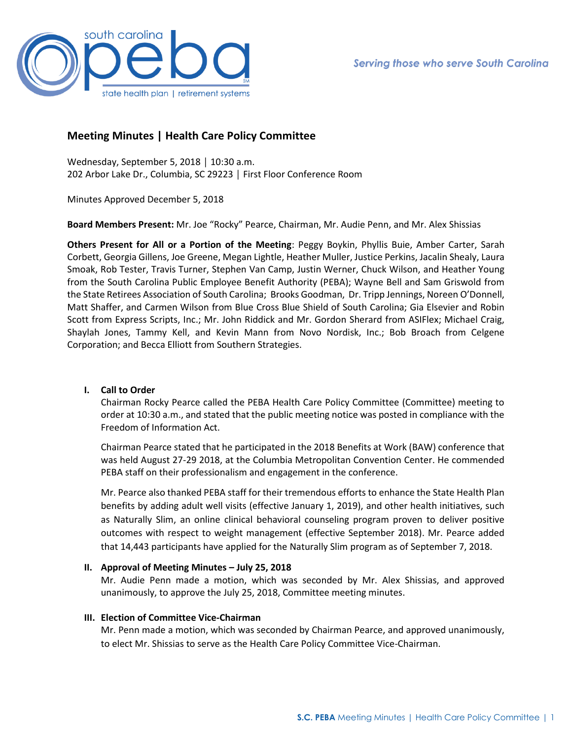

# **Meeting Minutes | Health Care Policy Committee**

Wednesday, September 5, 2018 │ 10:30 a.m. 202 Arbor Lake Dr., Columbia, SC 29223 │ First Floor Conference Room

Minutes Approved December 5, 2018

**Board Members Present:** Mr. Joe "Rocky" Pearce, Chairman, Mr. Audie Penn, and Mr. Alex Shissias

**Others Present for All or a Portion of the Meeting**: Peggy Boykin, Phyllis Buie, Amber Carter, Sarah Corbett, Georgia Gillens, Joe Greene, Megan Lightle, Heather Muller, Justice Perkins, Jacalin Shealy, Laura Smoak, Rob Tester, Travis Turner, Stephen Van Camp, Justin Werner, Chuck Wilson, and Heather Young from the South Carolina Public Employee Benefit Authority (PEBA); Wayne Bell and Sam Griswold from the State Retirees Association of South Carolina; Brooks Goodman, Dr. Tripp Jennings, Noreen O'Donnell, Matt Shaffer, and Carmen Wilson from Blue Cross Blue Shield of South Carolina; Gia Elsevier and Robin Scott from Express Scripts, Inc.; Mr. John Riddick and Mr. Gordon Sherard from ASIFlex; Michael Craig, Shaylah Jones, Tammy Kell, and Kevin Mann from Novo Nordisk, Inc.; Bob Broach from Celgene Corporation; and Becca Elliott from Southern Strategies.

## **I. Call to Order**

Chairman Rocky Pearce called the PEBA Health Care Policy Committee (Committee) meeting to order at 10:30 a.m., and stated that the public meeting notice was posted in compliance with the Freedom of Information Act.

Chairman Pearce stated that he participated in the 2018 Benefits at Work (BAW) conference that was held August 27-29 2018, at the Columbia Metropolitan Convention Center. He commended PEBA staff on their professionalism and engagement in the conference.

Mr. Pearce also thanked PEBA staff for their tremendous efforts to enhance the State Health Plan benefits by adding adult well visits (effective January 1, 2019), and other health initiatives, such as Naturally Slim, an online clinical behavioral counseling program proven to deliver positive outcomes with respect to weight management (effective September 2018). Mr. Pearce added that 14,443 participants have applied for the Naturally Slim program as of September 7, 2018.

## **II. Approval of Meeting Minutes – July 25, 2018**

Mr. Audie Penn made a motion, which was seconded by Mr. Alex Shissias, and approved unanimously, to approve the July 25, 2018, Committee meeting minutes.

## **III. Election of Committee Vice-Chairman**

Mr. Penn made a motion, which was seconded by Chairman Pearce, and approved unanimously, to elect Mr. Shissias to serve as the Health Care Policy Committee Vice-Chairman.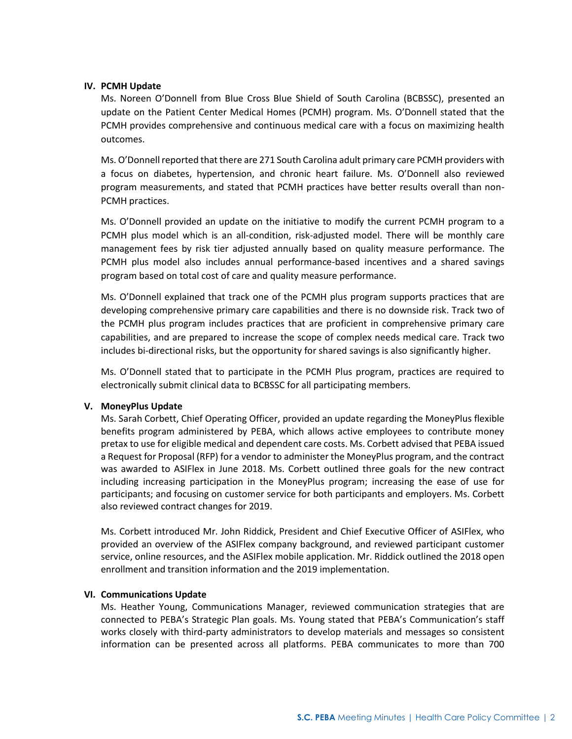## **IV. PCMH Update**

Ms. Noreen O'Donnell from Blue Cross Blue Shield of South Carolina (BCBSSC), presented an update on the Patient Center Medical Homes (PCMH) program. Ms. O'Donnell stated that the PCMH provides comprehensive and continuous medical care with a focus on maximizing health outcomes.

Ms. O'Donnell reported that there are 271 South Carolina adult primary care PCMH providers with a focus on diabetes, hypertension, and chronic heart failure. Ms. O'Donnell also reviewed program measurements, and stated that PCMH practices have better results overall than non-PCMH practices.

Ms. O'Donnell provided an update on the initiative to modify the current PCMH program to a PCMH plus model which is an all-condition, risk-adjusted model. There will be monthly care management fees by risk tier adjusted annually based on quality measure performance. The PCMH plus model also includes annual performance-based incentives and a shared savings program based on total cost of care and quality measure performance.

Ms. O'Donnell explained that track one of the PCMH plus program supports practices that are developing comprehensive primary care capabilities and there is no downside risk. Track two of the PCMH plus program includes practices that are proficient in comprehensive primary care capabilities, and are prepared to increase the scope of complex needs medical care. Track two includes bi-directional risks, but the opportunity for shared savings is also significantly higher.

Ms. O'Donnell stated that to participate in the PCMH Plus program, practices are required to electronically submit clinical data to BCBSSC for all participating members.

## **V. MoneyPlus Update**

Ms. Sarah Corbett, Chief Operating Officer, provided an update regarding the MoneyPlus flexible benefits program administered by PEBA, which allows active employees to contribute money pretax to use for eligible medical and dependent care costs. Ms. Corbett advised that PEBA issued a Request for Proposal (RFP) for a vendor to administer the MoneyPlus program, and the contract was awarded to ASIFlex in June 2018. Ms. Corbett outlined three goals for the new contract including increasing participation in the MoneyPlus program; increasing the ease of use for participants; and focusing on customer service for both participants and employers. Ms. Corbett also reviewed contract changes for 2019.

Ms. Corbett introduced Mr. John Riddick, President and Chief Executive Officer of ASIFlex, who provided an overview of the ASIFlex company background, and reviewed participant customer service, online resources, and the ASIFlex mobile application. Mr. Riddick outlined the 2018 open enrollment and transition information and the 2019 implementation.

## **VI. Communications Update**

Ms. Heather Young, Communications Manager, reviewed communication strategies that are connected to PEBA's Strategic Plan goals. Ms. Young stated that PEBA's Communication's staff works closely with third-party administrators to develop materials and messages so consistent information can be presented across all platforms. PEBA communicates to more than 700